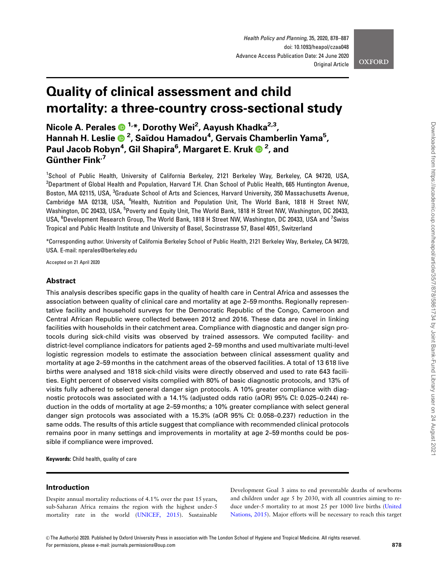# Quality of clinical assessment and child mortality: a three-country cross-sectional study

Nicole A. Perales  $\mathbf{D}^{1,*}$ , Dorothy Wei<sup>2</sup>, Aayush Khadka<sup>2,3</sup>, Hannah H. Leslie <sup>2</sup> , Saı¨dou Hamadou<sup>4</sup> , Gervais Chamberlin Yama5 , Paul Jacob Robyn<sup>4</sup> , Gil Shapira6 , Margaret E. Kruk <sup>2</sup> , and Günther Fink $<sup>7</sup>$ </sup>

<sup>1</sup>School of Public Health, University of California Berkeley, 2121 Berkeley Way, Berkeley, CA 94720, USA,  $^2$ Department of Global Health and Population, Harvard T.H. Chan School of Public Health, 665 Huntington Avenue, Boston, MA 02115, USA, <sup>3</sup>Graduate School of Arts and Sciences, Harvard University, 350 Massachusetts Avenue, Cambridge MA 02138, USA, <sup>4</sup>Health, Nutrition and Population Unit, The World Bank, 1818 H Street NW, Washington, DC 20433, USA, <sup>5</sup>Poverty and Equity Unit, The World Bank, 1818 H Street NW, Washington, DC 20433, USA, <sup>6</sup>Development Research Group, The World Bank, 1818 H Street NW, Washington, DC 20433, USA and <sup>7</sup>Swiss Tropical and Public Health Institute and University of Basel, Socinstrasse 57, Basel 4051, Switzerland

\*Corresponding author. University of California Berkeley School of Public Health, 2121 Berkeley Way, Berkeley, CA 94720, USA. E-mail: nperales@berkeley.edu

Accepted on 21 April 2020

## Abstract

This analysis describes specific gaps in the quality of health care in Central Africa and assesses the association between quality of clinical care and mortality at age 2–59 months. Regionally representative facility and household surveys for the Democratic Republic of the Congo, Cameroon and Central African Republic were collected between 2012 and 2016. These data are novel in linking facilities with households in their catchment area. Compliance with diagnostic and danger sign protocols during sick-child visits was observed by trained assessors. We computed facility- and district-level compliance indicators for patients aged 2–59 months and used multivariate multi-level logistic regression models to estimate the association between clinical assessment quality and mortality at age 2–59 months in the catchment areas of the observed facilities. A total of 13 618 live births were analysed and 1818 sick-child visits were directly observed and used to rate 643 facilities. Eight percent of observed visits complied with 80% of basic diagnostic protocols, and 13% of visits fully adhered to select general danger sign protocols. A 10% greater compliance with diagnostic protocols was associated with a 14.1% (adjusted odds ratio (aOR) 95% CI: 0.025–0.244) reduction in the odds of mortality at age 2–59 months; a 10% greater compliance with select general danger sign protocols was associated with a 15.3% (aOR 95% CI: 0.058–0.237) reduction in the same odds. The results of this article suggest that compliance with recommended clinical protocols remains poor in many settings and improvements in mortality at age 2–59 months could be possible if compliance were improved.

Keywords: Child health, quality of care

## Introduction

Despite annual mortality reductions of 4.1% over the past 15 years, sub-Saharan Africa remains the region with the highest under-5 mortality rate in the world ([UNICEF, 2015](#page-9-0)). Sustainable Development Goal 3 aims to end preventable deaths of newborns and children under age 5 by 2030, with all countries aiming to reduce under-5 mortality to at most 25 per 1000 live births [\(United](#page-9-0) [Nations, 2015](#page-9-0)). Major efforts will be necessary to reach this target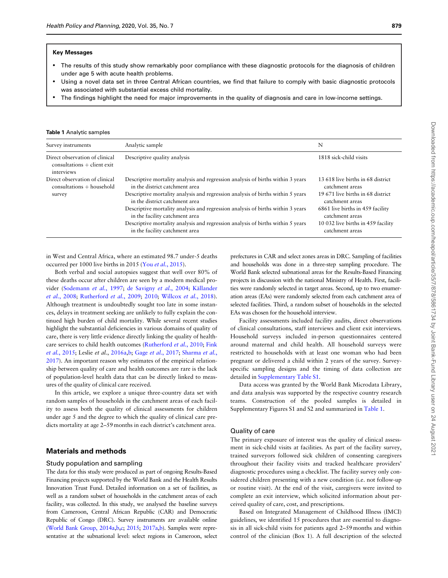#### Key Messages

- The results of this study show remarkably poor compliance with these diagnostic protocols for the diagnosis of children under age 5 with acute health problems.
- Using a novel data set in three Central African countries, we find that failure to comply with basic diagnostic protocols was associated with substantial excess child mortality.
- The findings highlight the need for major improvements in the quality of diagnosis and care in low-income settings.

#### Table 1 Analytic samples

| Survey instruments                                                          | Analytic sample                                                                                                                                                                                                                                                                                                                                                                                                                                                                  | N                                                                                                                                                                                                                             |
|-----------------------------------------------------------------------------|----------------------------------------------------------------------------------------------------------------------------------------------------------------------------------------------------------------------------------------------------------------------------------------------------------------------------------------------------------------------------------------------------------------------------------------------------------------------------------|-------------------------------------------------------------------------------------------------------------------------------------------------------------------------------------------------------------------------------|
| Direct observation of clinical<br>$constations + client exit$<br>interviews | Descriptive quality analysis                                                                                                                                                                                                                                                                                                                                                                                                                                                     | 1818 sick-child visits                                                                                                                                                                                                        |
| Direct observation of clinical<br>$constations + household$<br>survey       | Descriptive mortality analysis and regression analysis of births within 3 years<br>in the district catchment area<br>Descriptive mortality analysis and regression analysis of births within 5 years<br>in the district catchment area<br>Descriptive mortality analysis and regression analysis of births within 3 years<br>in the facility catchment area<br>Descriptive mortality analysis and regression analysis of births within 5 years<br>in the facility catchment area | 13 618 live births in 68 district<br>catchment areas<br>19.671 live births in 68 district.<br>catchment areas<br>6861 live births in 459 facility<br>catchment areas<br>10 032 live births in 459 facility<br>catchment areas |

in West and Central Africa, where an estimated 98.7 under-5 deaths occurred per 1000 live births in 2015 (You et al.[, 2015\)](#page-9-0).

Both verbal and social autopsies suggest that well over 80% of these deaths occur after children are seen by a modern medical pro-vider ([Sodemann](#page-9-0) et al., 1997; [de Savigny](#page-8-0) et al., 2004; Källander et al.[, 2008](#page-8-0); [Rutherford](#page-8-0) et al., 2009; [2010](#page-9-0); [Willcox](#page-9-0) et al., 2018). Although treatment is undoubtedly sought too late in some instances, delays in treatment seeking are unlikely to fully explain the continued high burden of child mortality. While several recent studies highlight the substantial deficiencies in various domains of quality of care, there is very little evidence directly linking the quality of healthcare services to child health outcomes ([Rutherford](#page-9-0) et al., 2010; [Fink](#page-8-0) et al.[, 2015;](#page-8-0) Leslie et al., [2016a,b;](#page-8-0) Gage et al.[, 2017](#page-8-0); [Sharma](#page-9-0) et al., [2017\)](#page-9-0). An important reason why estimates of the empirical relationship between quality of care and health outcomes are rare is the lack of population-level health data that can be directly linked to measures of the quality of clinical care received.

In this article, we explore a unique three-country data set with random samples of households in the catchment areas of each facility to assess both the quality of clinical assessments for children under age 5 and the degree to which the quality of clinical care predicts mortality at age 2–59 months in each district's catchment area.

# Materials and methods

#### Study population and sampling

The data for this study were produced as part of ongoing Results-Based Financing projects supported by the World Bank and the Health Results Innovation Trust Fund. Detailed information on a set of facilities, as well as a random subset of households in the catchment areas of each facility, was collected. In this study, we analysed the baseline surveys from Cameroon, Central African Republic (CAR) and Democratic Republic of Congo (DRC). Survey instruments are available online ([World Bank Group, 2014a,b,c](#page-9-0); [2015](#page-9-0); [2017a,b](#page-9-0)). Samples were representative at the subnational level: select regions in Cameroon, select

prefectures in CAR and select zones areas in DRC. Sampling of facilities and households was done in a three-step sampling procedure. The World Bank selected subnational areas for the Results-Based Financing projects in discussion with the national Ministry of Health. First, facilities were randomly selected in target areas. Second, up to two enumeration areas (EAs) were randomly selected from each catchment area of selected facilities. Third, a random subset of households in the selected EAs was chosen for the household interview.

Facility assessments included facility audits, direct observations of clinical consultations, staff interviews and client exit interviews. Household surveys included in-person questionnaires centered around maternal and child health. All household surveys were restricted to households with at least one woman who had been pregnant or delivered a child within 2 years of the survey. Surveyspecific sampling designs and the timing of data collection are detailed in [Supplementary Table S1](https://academic.oup.com/heapol/article-lookup/doi/10.1093/heapol/czaa048#supplementary-data).

Data access was granted by the World Bank Microdata Library, and data analysis was supported by the respective country research teams. Construction of the pooled samples is detailed in Supplementary Figures S1 and S2 and summarized in Table 1.

#### Quality of care

The primary exposure of interest was the quality of clinical assessment in sick-child visits at facilities. As part of the facility survey, trained surveyors followed sick children of consenting caregivers throughout their facility visits and tracked healthcare providers' diagnostic procedures using a checklist. The facility survey only considered children presenting with a new condition (i.e. not follow-up or routine visit). At the end of the visit, caregivers were invited to complete an exit interview, which solicited information about perceived quality of care, cost, and prescriptions.

Based on Integrated Management of Childhood Illness (IMCI) guidelines, we identified 15 procedures that are essential to diagnosis in all sick-child visits for patients aged 2–59 months and within control of the clinician (Box 1). A full description of the selected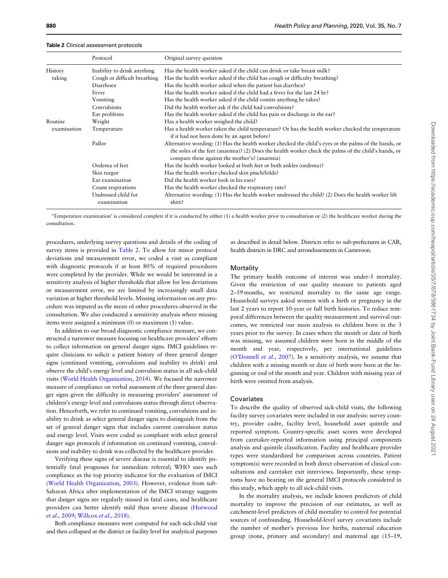Table 2 Clinical assessment protocols

#### 880 Health Policy and Planning, 2020, Vol. 35, No. 7

|             | Protocol                           | Original survey question                                                                                                                                                                                                                                       |
|-------------|------------------------------------|----------------------------------------------------------------------------------------------------------------------------------------------------------------------------------------------------------------------------------------------------------------|
| History     | Inability to drink anything        | Has the health worker asked if the child can drink or take breast milk?                                                                                                                                                                                        |
| taking      | Cough or difficult breathing       | Has the health worker asked if the child has cough or difficulty breathing?                                                                                                                                                                                    |
|             | Diarrhoea                          | Has the health worker asked when the patient has diarrhea?                                                                                                                                                                                                     |
|             | Fever                              | Has the health worker asked if the child had a fever for the last 24 hr?                                                                                                                                                                                       |
|             | Vomiting                           | Has the health worker asked if the child vomits anything he takes?                                                                                                                                                                                             |
|             | Convulsions                        | Did the health worker ask if the child had convulsions?                                                                                                                                                                                                        |
|             | Ear problems                       | Has the health worker asked if the child has pain or discharge in the ear?                                                                                                                                                                                     |
| Routine     | Weight                             | Has a health worker weighed the child?                                                                                                                                                                                                                         |
| examination | Temperature                        | Has a health worker taken the child temperature? Or has the health worker checked the temperature<br>if it had not been done by an agent before?                                                                                                               |
|             | Pallor                             | Alternative wording: (1) Has the health worker checked the child's eyes or the palms of the hands, or<br>the soles of the feet (anaemia)? (2) Does the health worker check the palms of the child's hands, or<br>compare these against the mother's? (anaemia) |
|             | Oedema of feet                     | Has the health worker looked at both feet or both ankles (oedema)?                                                                                                                                                                                             |
|             | Skin turgor                        | Has the health worker checked skin pinch/folds?                                                                                                                                                                                                                |
|             | Ear examination                    | Did the health worker look in his ears?                                                                                                                                                                                                                        |
|             | Count respirations                 | Has the health worker checked the respiratory rate?                                                                                                                                                                                                            |
|             | Undressed child for<br>examination | Alternative wording: (1) Has the health worker undressed the child? (2) Does the health worker lift<br>shirt?                                                                                                                                                  |

'Temperature examination' is considered complete if it is conducted by either (1) a health worker prior to consultation or (2) the healthcare worker during the consultation.

procedures, underlying survey questions and details of the coding of survey items is provided in Table 2. To allow for minor protocol deviations and measurement error, we coded a visit as compliant with diagnostic protocols if at least 80% of required procedures were completed by the provider. While we would be interested in a sensitivity analysis of higher thresholds that allow for less deviations or measurement error, we are limited by increasingly small data variation at higher threshold levels. Missing information on any procedure was imputed as the mean of other procedures observed in the consultation. We also conducted a sensitivity analysis where missing items were assigned a minimum (0) or maximum (1) value.

In addition to our broad diagnostic compliance measure, we constructed a narrower measure focusing on healthcare providers' efforts to collect information on general danger signs. IMCI guidelines require clinicians to solicit a patient history of three general danger signs (continued vomiting, convulsions and inability to drink) and observe the child's energy level and convulsion status in all sick-child visits [\(World Health Organization, 2014\)](#page-9-0). We focused the narrower measure of compliance on verbal assessment of the three general danger signs given the difficulty in measuring providers' assessment of children's energy level and convulsions status through direct observation. Henceforth, we refer to continued vomiting, convulsions and inability to drink as select general danger signs to distinguish from the set of general danger signs that includes current convulsion status and energy level. Visits were coded as compliant with select general danger sign protocols if information on continued vomiting, convulsions and inability to drink was collected by the healthcare provider.

Verifying these signs of severe disease is essential to identify potentially fatal prognoses for immediate referral; WHO uses such compliance as the top priority indicator for the evaluation of IMCI ([World Health Organization, 2003\)](#page-9-0). However, evidence from sub-Saharan Africa after implementation of the IMCI strategy suggests that danger signs are regularly missed in fatal cases, and healthcare providers can better identify mild than severe disease ([Horwood](#page-8-0) et al.[, 2009;](#page-8-0) [Willcox](#page-9-0) et al., 2018).

Both compliance measures were computed for each sick-child visit and then collapsed at the district or facility level for analytical purposes

as described in detail below. Districts refer to sub-prefectures in CAR, health districts in DRC and arrondissements in Cameroon.

#### **Mortality**

The primary health outcome of interest was under-5 mortality. Given the restriction of our quality measure to patients aged 2–59 months, we restricted mortality to the same age range. Household surveys asked women with a birth or pregnancy in the last 2 years to report 10-year or full birth histories. To reduce temporal differences between the quality measurement and survival outcomes, we restricted our main analysis to children born in the 3 years prior to the survey. In cases where the month or date of birth was missing, we assumed children were born in the middle of the month and year, respectively, per international guidelines ([O'Donnell](#page-8-0) et al., 2007). In a sensitivity analysis, we assume that children with a missing month or date of birth were born at the beginning or end of the month and year. Children with missing year of birth were omitted from analysis.

#### **Covariates**

To describe the quality of observed sick-child visits, the following facility survey covariates were included in our analysis: survey country, provider cadre, facility level, household asset quintile and reported symptom. Country-specific asset scores were developed from caretaker-reported information using principal components analysis and quintile classification. Facility and healthcare provider types were standardized for comparison across countries. Patient symptom(s) were recorded in both direct observation of clinical consultations and caretaker exit interviews. Importantly, these symptoms have no bearing on the general IMCI protocols considered in this study, which apply to all sick-child visits.

In the mortality analysis, we include known predictors of child mortality to improve the precision of our estimates, as well as catchment-level predictors of child mortality to control for potential sources of confounding. Household-level survey covariates include the number of mother's previous live births, maternal education group (none, primary and secondary) and maternal age (15–19,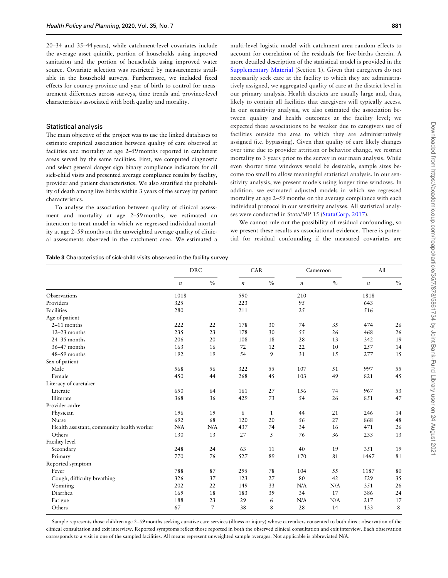<span id="page-3-0"></span>20–34 and 35–44 years), while catchment-level covariates include the average asset quintile, portion of households using improved sanitation and the portion of households using improved water source. Covariate selection was restricted by measurements available in the household surveys. Furthermore, we included fixed effects for country-province and year of birth to control for measurement differences across surveys, time trends and province-level characteristics associated with both quality and morality.

#### Statistical analysis

The main objective of the project was to use the linked databases to estimate empirical association between quality of care observed at facilities and mortality at age 2–59 months reported in catchment areas served by the same facilities. First, we computed diagnostic and select general danger sign binary compliance indicators for all sick-child visits and presented average compliance results by facility, provider and patient characteristics. We also stratified the probability of death among live births within 3 years of the survey by patient characteristics.

To analyse the association between quality of clinical assessment and mortality at age 2–59 months, we estimated an intention-to-treat model in which we regressed individual mortality at age 2–59 months on the unweighted average quality of clinical assessments observed in the catchment area. We estimated a

multi-level logistic model with catchment area random effects to account for correlation of the residuals for live-births therein. A more detailed description of the statistical model is provided in the [Supplementary Material](https://academic.oup.com/heapol/article-lookup/doi/10.1093/heapol/czaa048#supplementary-data) (Section 1). Given that caregivers do not necessarily seek care at the facility to which they are administratively assigned, we aggregated quality of care at the district level in our primary analysis. Health districts are usually large and, thus, likely to contain all facilities that caregivers will typically access. In our sensitivity analysis, we also estimated the association between quality and health outcomes at the facility level; we expected these associations to be weaker due to caregivers use of facilities outside the area to which they are administratively assigned (i.e. bypassing). Given that quality of care likely changes over time due to provider attrition or behavior change, we restrict mortality to 3 years prior to the survey in our main analysis. While even shorter time windows would be desirable, sample sizes become too small to allow meaningful statistical analysis. In our sensitivity analysis, we present models using longer time windows. In addition, we estimated adjusted models in which we regressed

ses were conducted in Stata/MP 15 [\(StataCorp, 2017](#page-9-0)). We cannot rule out the possibility of residual confounding, so we present these results as associational evidence. There is potential for residual confounding if the measured covariates are

mortality at age 2–59 months on the average compliance with each individual protocol in our sensitivity analyses. All statistical analy-

| <b>Table 3</b> Characteristics of sick-child visits observed in the facility survey |  |
|-------------------------------------------------------------------------------------|--|
|-------------------------------------------------------------------------------------|--|

|                                           | <b>DRC</b> |      | CAR     |              | Cameroon         |      | All              |                |
|-------------------------------------------|------------|------|---------|--------------|------------------|------|------------------|----------------|
|                                           | $\it n$    | $\%$ | $\it n$ | $\%$         | $\boldsymbol{n}$ | $\%$ | $\boldsymbol{n}$ | $\frac{0}{0}$  |
| Observations                              | 1018       |      | 590     |              | 210              |      | 1818             |                |
| Providers                                 | 325        |      | 223     |              | 95               |      | 643              |                |
| Facilities                                | 280        |      | 211     |              | 25               |      | 516              |                |
| Age of patient                            |            |      |         |              |                  |      |                  |                |
| $2-11$ months                             | 222        | 22   | 178     | 30           | 74               | 35   | 474              | 26             |
| $12-23$ months                            | 235        | 23   | 178     | 30           | 55               | 26   | 468              | 26             |
| $24 - 35$ months                          | 206        | 20   | 108     | 18           | 28               | 13   | 342              | 1 <sup>5</sup> |
| 36-47 months                              | 163        | 16   | 72      | 12           | 22               | 10   | 257              | 14             |
| 48-59 months                              | 192        | 19   | 54      | 9            | 31               | 15   | 277              | 15             |
| Sex of patient                            |            |      |         |              |                  |      |                  |                |
| Male                                      | 568        | 56   | 322     | 55           | 107              | 51   | 997              | 55             |
| Female                                    | 450        | 44   | 268     | 45           | 103              | 49   | 821              | 45             |
| Literacy of caretaker                     |            |      |         |              |                  |      |                  |                |
| Literate                                  | 650        | 64   | 161     | 27           | 156              | 74   | 967              | 53             |
| Illiterate                                | 368        | 36   | 429     | 73           | 54               | 26   | 851              | 47             |
| Provider cadre                            |            |      |         |              |                  |      |                  |                |
| Physician                                 | 196        | 19   | 6       | $\mathbf{1}$ | 44               | 21   | 246              | 14             |
| Nurse                                     | 692        | 68   | 120     | 20           | 56               | 27   | 868              | 48             |
| Health assistant, community health worker | N/A        | N/A  | 437     | 74           | 34               | 16   | 471              | 26             |
| Others                                    | 130        | 13   | 27      | 5            | 76               | 36   | 233              | 13             |
| Facility level                            |            |      |         |              |                  |      |                  |                |
| Secondary                                 | 248        | 24   | 63      | 11           | 40               | 19   | 351              | 1 <sup>5</sup> |
| Primary                                   | 770        | 76   | 527     | 89           | 170              | 81   | 1467             | 81             |
| Reported symptom                          |            |      |         |              |                  |      |                  |                |
| Fever                                     | 788        | 87   | 295     | 78           | 104              | 55   | 1187             | 80             |
| Cough, difficulty breathing               | 326        | 37   | 123     | 27           | 80               | 42   | 529              | 35             |
| Vomiting                                  | 202        | 22   | 149     | 33           | N/A              | N/A  | 351              | 26             |
| Diarrhea                                  | 169        | 18   | 183     | 39           | 34               | 17   | 386              | 24             |
| Fatigue                                   | 188        | 23   | 29      | 6            | N/A              | N/A  | 217              | 17             |
| Others                                    | 67         | 7    | 38      | 8            | 28               | 14   | 133              | 8              |

Sample represents those children age 2–59 months seeking curative care services (illness or injury) whose caretakers consented to both direct observation of the clinical consultation and exit interview. Reported symptoms reflect those reported in both the observed clinical consultation and exit interview. Each observation corresponds to a visit in one of the sampled facilities. All means represent unweighted sample averages. Not applicable is abbreviated N/A.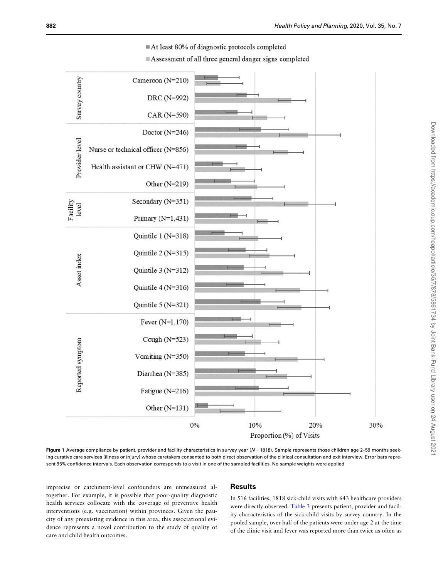<span id="page-4-0"></span>

At least 80% of diagnostic protocols completed

Assessment of all three general danger signs completed

Figure 1 Average compliance by patient, provider and facility characteristics in survey year ( $N = 1818$ ). Sample represents those children age 2-59 months seeking curative care services (illness or injury) whose caretakers consented to both direct observation of the clinical consultation and exit interview. Error bars represent 95% confidence intervals. Each observation corresponds to a visit in one of the sampled facilities. No sample weights were applied

imprecise or catchment-level confounders are unmeasured altogether. For example, it is possible that poor-quality diagnostic health services collocate with the coverage of preventive health interventions (e.g. vaccination) within provinces. Given the paucity of any preexisting evidence in this area, this associational evidence represents a novel contribution to the study of quality of care and child health outcomes.

# Results

In 516 facilities, 1818 sick-child visits with 643 healthcare providers were directly observed. [Table 3](#page-3-0) presents patient, provider and facility characteristics of the sick-child visits by survey country. In the pooled sample, over half of the patients were under age 2 at the time of the clinic visit and fever was reported more than twice as often as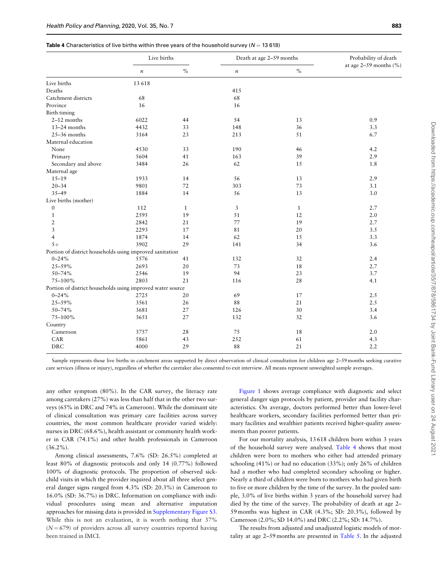|                                                            | Live births      |              | Death at age 2-59 months |              | Probability of death         |
|------------------------------------------------------------|------------------|--------------|--------------------------|--------------|------------------------------|
|                                                            | $\boldsymbol{n}$ | $\%$         | $\boldsymbol{n}$         | $\%$         | at age $2-59$ months $(\% )$ |
| Live births                                                | 13 6 18          |              |                          |              |                              |
| Deaths                                                     |                  |              | 415                      |              |                              |
| Catchment districts                                        | 68               |              | 68                       |              |                              |
| Province                                                   | 16               |              | 16                       |              |                              |
| Birth timing                                               |                  |              |                          |              |                              |
| 2-12 months                                                | 6022             | 44           | 54                       | 13           | 0.9                          |
| 13-24 months                                               | 4432             | 33           | 148                      | 36           | 3.3                          |
| $25-36$ months                                             | 3164             | 23           | 213                      | 51           | 6.7                          |
| Maternal education                                         |                  |              |                          |              |                              |
| None                                                       | 4530             | 33           | 190                      | 46           | 4.2                          |
| Primary                                                    | 5604             | 41           | 163                      | 39           | 2.9                          |
| Secondary and above                                        | 3484             | 26           | 62                       | 15           | 1.8                          |
| Maternal age                                               |                  |              |                          |              |                              |
| $15 - 19$                                                  | 1933             | 14           | 56                       | 13           | 2.9                          |
| $20 - 34$                                                  | 9801             | 72           | 303                      | 73           | 3.1                          |
| $35 - 49$                                                  | 1884             | 14           | 56                       | 13           | 3.0                          |
| Live births (mother)                                       |                  |              |                          |              |                              |
| $\boldsymbol{0}$                                           | 112              | $\mathbf{1}$ | 3                        | $\mathbf{1}$ | 2.7                          |
| $\mathbf{1}$                                               | 2595             | 19           | 51                       | 12           | 2.0                          |
| $\overline{2}$                                             | 2842             | 21           | 77                       | 19           | 2.7                          |
| 3                                                          | 2293             | 17           | 81                       | 20           | 3.5                          |
| $\overline{4}$                                             | 1874             | 14           | 62                       | 15           | 3.3                          |
| $5+$                                                       | 3902             | 29           | 141                      | 34           | 3.6                          |
| Portion of district households using improved sanitation   |                  |              |                          |              |                              |
| $0 - 24%$                                                  | 5576             | 41           | 132                      | 32           | 2.4                          |
| 25-59%                                                     | 2693             | 20           | 73                       | 18           | 2.7                          |
| 50-74%                                                     | 2546             | 19           | 94                       | 23           | 3.7                          |
| 75-100%                                                    | 2803             | 21           | 116                      | 28           | 4.1                          |
| Portion of district households using improved water source |                  |              |                          |              |                              |
| $0 - 24%$                                                  | 2725             | 20           | 69                       | 17           | 2.5                          |
| 25-59%                                                     | 3561             | 26           | 88                       | 21           | 2.5                          |
| 50-74%                                                     | 3681             | 27           | 126                      | 30           | 3.4                          |
| 75-100%                                                    | 3651             | 27           | 132                      | 32           | 3.6                          |
| Country                                                    |                  |              |                          |              |                              |
| Cameroon                                                   | 3757             | 28           | 75                       | 18           | 2.0                          |
| CAR                                                        | 5861             | 43           | 252                      | 61           | 4.3                          |
| <b>DRC</b>                                                 | 4000             | 29           | $8\,8$                   | 21           | 2.2                          |
|                                                            |                  |              |                          |              |                              |

Sample represents those live births in catchment areas supported by direct observation of clinical consultation for children age 2–59 months seeking curative care services (illness or injury), regardless of whether the caretaker also consented to exit interview. All means represent unweighted sample averages.

any other symptom (80%). In the CAR survey, the literacy rate among caretakers (27%) was less than half that in the other two surveys (65% in DRC and 74% in Cameroon). While the dominant site of clinical consultation was primary care facilities across survey countries, the most common healthcare provider varied widely: nurses in DRC (68.6%), health assistant or community health worker in CAR (74.1%) and other health professionals in Cameroon  $(36.2\%)$ .

Among clinical assessments, 7.6% (SD: 26.5%) completed at least 80% of diagnostic protocols and only 14 (0.77%) followed 100% of diagnostic protocols. The proportion of observed sickchild visits in which the provider inquired about all three select general danger signs ranged from 4.3% (SD: 20.3%) in Cameroon to 16.0% (SD: 36.7%) in DRC. Information on compliance with individual procedures using mean and alternative imputation approaches for missing data is provided in [Supplementary Figure S3.](https://academic.oup.com/heapol/article-lookup/doi/10.1093/heapol/czaa048#supplementary-data) While this is not an evaluation, it is worth nothing that 37%  $(N = 679)$  of providers across all survey countries reported having been trained in IMCI.

[Figure 1](#page-4-0) shows average compliance with diagnostic and select general danger sign protocols by patient, provider and facility characteristics. On average, doctors performed better than lower-level healthcare workers, secondary facilities performed better than primary facilities and wealthier patients received higher-quality assessments than poorer patients.

For our mortality analysis, 13 618 children born within 3 years of the household survey were analysed. Table 4 shows that most children were born to mothers who either had attended primary schooling (41%) or had no education (33%); only 26% of children had a mother who had completed secondary schooling or higher. Nearly a third of children were born to mothers who had given birth to five or more children by the time of the survey. In the pooled sample, 3.0% of live births within 3 years of the household survey had died by the time of the survey. The probability of death at age 2– 59 months was highest in CAR (4.3%; SD: 20.3%), followed by Cameroon (2.0%; SD 14.0%) and DRC (2.2%; SD: 14.7%).

The results from adjusted and unadjusted logistic models of mortality at age 2–59 months are presented in [Table 5.](#page-6-0) In the adjusted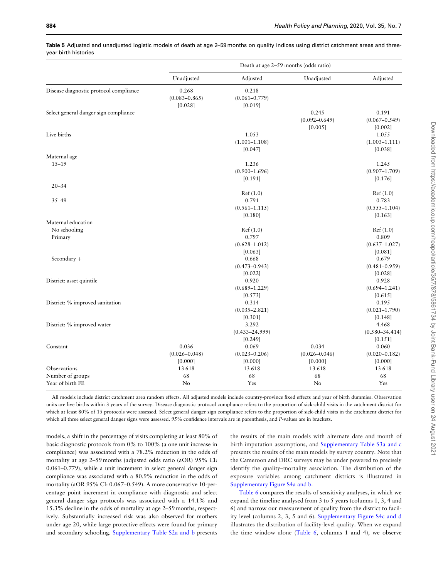|                                        | Death at age 2-59 months (odds ratio) |                    |                   |                    |  |
|----------------------------------------|---------------------------------------|--------------------|-------------------|--------------------|--|
|                                        | Unadjusted                            | Adjusted           | Unadjusted        | Adjusted           |  |
| Disease diagnostic protocol compliance | 0.268                                 | 0.218              |                   |                    |  |
|                                        | $(0.083 - 0.865)$                     | $(0.061 - 0.779)$  |                   |                    |  |
|                                        | [0.028]                               | [0.019]            |                   |                    |  |
| Select general danger sign compliance  |                                       |                    | 0.245             | 0.191              |  |
|                                        |                                       |                    | $(0.092 - 0.649)$ | $(0.067 - 0.549)$  |  |
|                                        |                                       |                    | [0.005]           | [0.002]            |  |
| Live births                            |                                       | 1.053              |                   | 1.055              |  |
|                                        |                                       | $(1.001 - 1.108)$  |                   | $(1.003 - 1.111)$  |  |
|                                        |                                       | [0.047]            |                   | [0.038]            |  |
| Maternal age                           |                                       |                    |                   |                    |  |
| $15 - 19$                              |                                       | 1.236              |                   | 1.245              |  |
|                                        |                                       | $(0.900 - 1.696)$  |                   | $(0.907 - 1.709)$  |  |
|                                        |                                       | [0.191]            |                   | [0.176]            |  |
| $20 - 34$                              |                                       |                    |                   |                    |  |
|                                        |                                       | Ref(1.0)           |                   | Ref(1.0)           |  |
| $35 - 49$                              |                                       | 0.791              |                   | 0.783              |  |
|                                        |                                       | $(0.561 - 1.115)$  |                   | $(0.555 - 1.104)$  |  |
|                                        |                                       | [0.180]            |                   | [0.163]            |  |
| Maternal education                     |                                       |                    |                   |                    |  |
| No schooling                           |                                       | Ref(1.0)           |                   | Ref(1.0)           |  |
| Primary                                |                                       | 0.797              |                   | 0.809              |  |
|                                        |                                       | $(0.628 - 1.012)$  |                   | $(0.637 - 1.027)$  |  |
|                                        |                                       | [0.063]            |                   | [0.081]            |  |
| Secondary +                            |                                       | 0.668              |                   | 0.679              |  |
|                                        |                                       | $(0.473 - 0.943)$  |                   | $(0.481 - 0.959)$  |  |
|                                        |                                       | [0.022]            |                   | [0.028]            |  |
| District: asset quintile               |                                       | 0.920              |                   | 0.928              |  |
|                                        |                                       | $(0.689 - 1.229)$  |                   | $(0.694 - 1.241)$  |  |
|                                        |                                       | [0.573]            |                   | [0.615]            |  |
| District: % improved sanitation        |                                       | 0.314              |                   | 0.195              |  |
|                                        |                                       | $(0.035 - 2.821)$  |                   | $(0.021 - 1.790)$  |  |
|                                        |                                       | [0.301]            |                   | [0.148]            |  |
| District: % improved water             |                                       | 3.292              |                   | 4.468              |  |
|                                        |                                       | $(0.433 - 24.999)$ |                   | $(0.580 - 34.414)$ |  |
|                                        |                                       | [0.249]            |                   | [0.151]            |  |
| Constant                               | 0.036                                 | 0.069              | 0.034             | 0.060              |  |
|                                        | $(0.026 - 0.048)$                     | $(0.023 - 0.206)$  | $(0.026 - 0.046)$ | $(0.020 - 0.182)$  |  |
|                                        | [0.000]                               | [0.000]            | [0.000]           | [0.000]            |  |
| Observations                           | 13 618                                | 13 618             | 13618             | 13618              |  |
| Number of groups                       | 68                                    | 68                 | 68                | 68                 |  |
| Year of birth FE                       | No                                    | Yes                | No                | Yes                |  |

<span id="page-6-0"></span>Table 5 Adjusted and unadjusted logistic models of death at age 2-59 months on quality indices using district catchment areas and threeyear birth histories

All models include district catchment area random effects. All adjusted models include country-province fixed effects and year of birth dummies. Observation units are live births within 3 years of the survey. Disease diagnostic protocol compliance refers to the proportion of sick-child visits in the catchment district for which at least 80% of 15 protocols were assessed. Select general danger sign compliance refers to the proportion of sick-child visits in the catchment district for which all three select general danger signs were assessed. 95% confidence intervals are in parenthesis, and P-values are in brackets.

models, a shift in the percentage of visits completing at least 80% of basic diagnostic protocols from 0% to 100% (a one unit increase in compliance) was associated with a 78.2% reduction in the odds of mortality at age 2–59 months (adjusted odds ratio (aOR) 95% CI: 0.061–0.779), while a unit increment in select general danger sign compliance was associated with a 80.9% reduction in the odds of mortality (aOR 95% CI: 0.067–0.549). A more conservative 10-percentage point increment in compliance with diagnostic and select general danger sign protocols was associated with a 14.1% and 15.3% decline in the odds of mortality at age 2–59 months, respectively. Substantially increased risk was also observed for mothers under age 20, while large protective effects were found for primary and secondary schooling. [Supplementary Table S2a and b](https://academic.oup.com/heapol/article-lookup/doi/10.1093/heapol/czaa048#supplementary-data) presents the results of the main models with alternate date and month of birth imputation assumptions, and [Supplementary Table S3a and c](https://academic.oup.com/heapol/article-lookup/doi/10.1093/heapol/czaa048#supplementary-data) presents the results of the main models by survey country. Note that the Cameroon and DRC surveys may be under powered to precisely identify the quality–mortality association. The distribution of the exposure variables among catchment districts is illustrated in [Supplementary Figure S4a and b.](https://academic.oup.com/heapol/article-lookup/doi/10.1093/heapol/czaa048#supplementary-data)

[Table 6](#page-7-0) compares the results of sensitivity analyses, in which we expand the timeline analysed from 3 to 5 years (columns 1, 3, 4 and 6) and narrow our measurement of quality from the district to facility level (columns 2, 3, 5 and 6). [Supplementary Figure S4c and d](https://academic.oup.com/heapol/article-lookup/doi/10.1093/heapol/czaa048#supplementary-data) illustrates the distribution of facility-level quality. When we expand the time window alone [\(Table 6,](#page-7-0) columns 1 and 4), we observe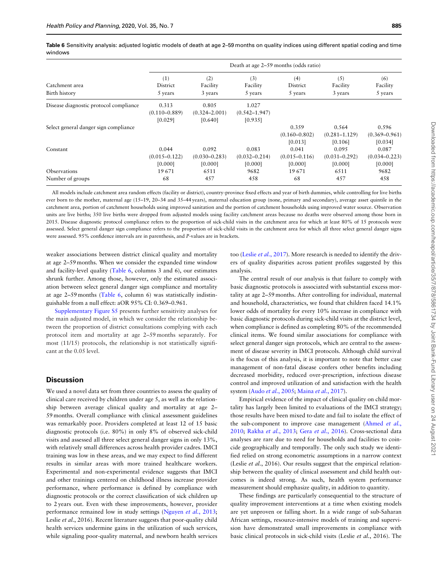<span id="page-7-0"></span>Table 6 Sensitivity analysis: adjusted logistic models of death at age 2–59 months on quality indices using different spatial coding and time windows

|                                        | Death at age 2–59 months (odds ratio) |                                       |                                       |                                       |                                       |                                       |  |  |
|----------------------------------------|---------------------------------------|---------------------------------------|---------------------------------------|---------------------------------------|---------------------------------------|---------------------------------------|--|--|
| Catchment area<br>Birth history        | (1)<br>District<br>5 years            | (2)<br>Facility<br>3 years            | (3)<br>Facility<br>5 years            | (4)<br>District<br>5 years            | (5)<br>Facility<br>3 years            | (6)<br>Facility<br>5 years            |  |  |
| Disease diagnostic protocol compliance | 0.313<br>$(0.110 - 0.889)$<br>[0.029] | 0.805<br>$(0.324 - 2.001)$<br>[0.640] | 1.027<br>$(0.542 - 1.947)$<br>[0.935] |                                       |                                       |                                       |  |  |
| Select general danger sign compliance  |                                       |                                       |                                       | 0.359<br>$(0.160 - 0.802)$<br>[0.013] | 0.564<br>$(0.281 - 1.129)$<br>[0.106] | 0.596<br>$(0.369 - 0.961)$<br>[0.034] |  |  |
| Constant                               | 0.044<br>$(0.015 - 0.122)$<br>[0.000] | 0.092<br>$(0.030 - 0.283)$<br>[0.000] | 0.083<br>$(0.032 - 0.214)$<br>[0.000] | 0.041<br>$(0.015 - 0.116)$<br>[0.000] | 0.095<br>$(0.031 - 0.292)$<br>[0.000] | 0.087<br>$(0.034 - 0.223)$<br>[0.000] |  |  |
| Observations<br>Number of groups       | 19671<br>68                           | 6511<br>457                           | 9682<br>458                           | 19671<br>68                           | 6511<br>457                           | 9682<br>458                           |  |  |

All models include catchment area random effects (facility or district), country-province fixed effects and year of birth dummies, while controlling for live births ever born to the mother, maternal age (15-19, 20-34 and 35-44 years), maternal education group (none, primary and secondary), average asset quintile in the catchment area, portion of catchment households using improved sanitation and the portion of catchment households using improved water source. Observation units are live births; 350 live births were dropped from adjusted models using facility catchment areas because no deaths were observed among those born in 2015. Disease diagnostic protocol compliance refers to the proportion of sick-child visits in the catchment area for which at least 80% of 15 protocols were assessed. Select general danger sign compliance refers to the proportion of sick-child visits in the catchment area for which all three select general danger signs were assessed. 95% confidence intervals are in parenthesis, and P-values are in brackets.

weaker associations between district clinical quality and mortality at age 2–59 months. When we consider the expanded time window and facility-level quality (Table 6, columns 3 and 6), our estimates shrunk further. Among those, however, only the estimated association between select general danger sign compliance and mortality at age 2–59 months (Table 6, column 6) was statistically indistinguishable from a null effect: aOR 95% CI: 0.369–0.961.

[Supplementary Figure S5](https://academic.oup.com/heapol/article-lookup/doi/10.1093/heapol/czaa048#supplementary-data) presents further sensitivity analyses for the main adjusted model, in which we consider the relationship between the proportion of district consultations complying with each protocol item and mortality at age 2–59 months separately. For most (11/15) protocols, the relationship is not statistically significant at the 0.05 level.

## **Discussion**

We used a novel data set from three countries to assess the quality of clinical care received by children under age 5, as well as the relationship between average clinical quality and mortality at age 2– 59 months. Overall compliance with clinical assessment guidelines was remarkably poor. Providers completed at least 12 of 15 basic diagnostic protocols (i.e. 80%) in only 8% of observed sick-child visits and assessed all three select general danger signs in only 13%, with relatively small differences across health provider cadres. IMCI training was low in these areas, and we may expect to find different results in similar areas with more trained healthcare workers. Experimental and non-experimental evidence suggests that IMCI and other trainings centered on childhood illness increase provider performance, where performance is defined by compliance with diagnostic protocols or the correct classification of sick children up to 2 years out. Even with these improvements, however, provider performance remained low in study settings ([Nguyen](#page-8-0) et al., 2013; Leslie et al., 2016). Recent literature suggests that poor-quality child health services undermine gains in the utilization of such services, while signaling poor-quality maternal, and newborn health services

too (Leslie et al.[, 2017](#page-8-0)). More research is needed to identify the drivers of quality disparities across patient profiles suggested by this analysis.

The central result of our analysis is that failure to comply with basic diagnostic protocols is associated with substantial excess mortality at age 2–59 months. After controlling for individual, maternal and household, characteristics, we found that children faced 14.1% lower odds of mortality for every 10% increase in compliance with basic diagnostic protocols during sick-child visits at the district level, when compliance is defined as completing 80% of the recommended clinical items. We found similar associations for compliance with select general danger sign protocols, which are central to the assessment of disease severity in IMCI protocols. Although child survival is the focus of this analysis, it is important to note that better case management of non-fatal disease confers other benefits including decreased morbidity, reduced over-prescription, infectious disease control and improved utilization of and satisfaction with the health system (Audo et al.[, 2005](#page-8-0); [Maina](#page-8-0) et al., 2017).

Empirical evidence of the impact of clinical quality on child mortality has largely been limited to evaluations of the IMCI strategy; those results have been mixed to-date and fail to isolate the effect of the sub-component to improve case management [\(Ahmed](#page-8-0) et al., [2010;](#page-8-0) Rakha et al.[, 2013;](#page-8-0) Gera et al.[, 2016\)](#page-8-0). Cross-sectional data analyses are rare due to need for households and facilities to coincide geographically and temporally. The only such study we identified relied on strong econometric assumptions in a narrow context (Leslie et al., 2016). Our results suggest that the empirical relationship between the quality of clinical assessment and child health outcomes is indeed strong. As such, health system performance measurement should emphasize quality, in addition to quantity.

These findings are particularly consequential to the structure of quality improvement interventions at a time when existing models are yet unproven or falling short. In a wide range of sub-Saharan African settings, resource-intensive models of training and supervision have demonstrated small improvements in compliance with basic clinical protocols in sick-child visits (Leslie et al., 2016). The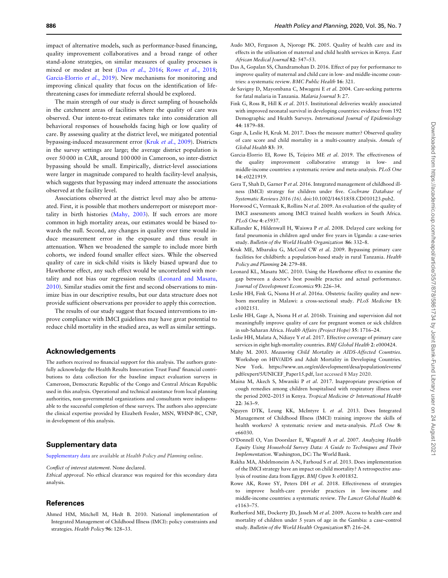<span id="page-8-0"></span>impact of alternative models, such as performance-based financing, quality improvement collaboratives and a broad range of other stand-alone strategies, on similar measures of quality processes is mixed or modest at best (Das et al., 2016; Rowe et al., 2018; Garcia-Elorrio et al., 2019). New mechanisms for monitoring and improving clinical quality that focus on the identification of lifethreatening cases for immediate referral should be explored.

The main strength of our study is direct sampling of households in the catchment areas of facilities where the quality of care was observed. Our intent-to-treat estimates take into consideration all behavioral responses of households facing high or low quality of care. By assessing quality at the district level, we mitigated potential bypassing-induced measurement error (Kruk et al., 2009). Districts in the survey settings are large; the average district population is over 50 000 in CAR, around 100 000 in Cameroon, so inter-district bypassing should be small. Empirically, district-level associations were larger in magnitude compared to health facility-level analysis, which suggests that bypassing may indeed attenuate the associations observed at the facility level.

Associations observed at the district level may also be attenuated. First, it is possible that mothers underreport or misreport mortality in birth histories (Mahy, 2003). If such errors are more common in high mortality areas, our estimates would be biased towards the null. Second, any changes in quality over time would induce measurement error in the exposure and thus result in attenuation. When we broadened the sample to include more birth cohorts, we indeed found smaller effect sizes. While the observed quality of care in sick-child visits is likely biased upward due to Hawthorne effect, any such effect would be uncorrelated with mortality and not bias our regression results (Leonard and Masatu, 2010). Similar studies omit the first and second observations to minimize bias in our descriptive results, but our data structure does not provide sufficient observations per provider to apply this correction.

The results of our study suggest that focused interventions to improve compliance with IMCI guidelines may have great potential to reduce child mortality in the studied area, as well as similar settings.

## Acknowledgements

The authors received no financial support for this analysis. The authors gratefully acknowledge the Health Results Innovation Trust Fund' financial contributions to data collection for the baseline impact evaluation surveys in Cameroon, Democratic Republic of the Congo and Central African Republic used in this analysis. Operational and technical assistance from local planning authorities, non-governmental organizations and consultants were indispensable to the successful completion of these surveys. The authors also appreciate the clinical expertise provided by Elizabeth Fessler, MSN, WHNP-BC, CNP, in development of this analysis.

#### Supplementary data

[Supplementary data](https://academic.oup.com/heapol/article-lookup/doi/10.1093/heapol/czaa048#supplementary-data) are available at Health Policy and Planning online.

#### Conflict of interest statement. None declared.

Ethical approval. No ethical clearance was required for this secondary data analysis.

## **References**

Ahmed HM, Mitchell M, Hedt B. 2010. National implementation of Integrated Management of Childhood Illness (IMCI): policy constraints and strategies. Health Policy 96: 128–33.

- Audo MO, Ferguson A, Njoroge PK. 2005. Quality of health care and its effects in the utilisation of maternal and child health services in Kenya. East
- African Medical Journal 82: 547–53. Das A, Gopalan SS, Chandramohan D. 2016. Effect of pay for performance to improve quality of maternal and child care in low- and middle-income countries: a systematic review. BMC Public Health 16: 321.
- de Savigny D, Mayombana C, Mwageni E et al. 2004. Care-seeking patterns for fatal malaria in Tanzania. Malaria Journal 3: 27.
- Fink G, Ross R, Hill K et al. 2015. Institutional deliveries weakly associated with improved neonatal survival in developing countries: evidence from 192 Demographic and Health Surveys. International Journal of Epidemiology 44: 1879–88.
- Gage A, Leslie H, Kruk M. 2017. Does the measure matter? Observed quality of care score and child mortality in a multi-country analysis. Annals of Global Health 83: 39.
- Garcia-Elorrio EI, Rowe IS, Teijeiro ME et al. 2019. The effectiveness of the quality improvement collaborative strategy in low- and middle-income countries: a systematic review and meta-analysis. PLoS One 14: e0221919.
- Gera T, Shah D, Garner P et al. 2016. Integrated management of childhood illness (IMCI) strategy for children under five. Cochrane Database of Systematic Reviews 2016 (16). doi:10.1002/14651858.CD010123.pub2.
- Horwood C, Vermaak K, Rollins N et al. 2009. An evaluation of the quality of IMCI assessments among IMCI trained health workers in South Africa. PLoS One 4: e5937.
- Källander K, Hildenwall H, Waiswa P et al. 2008. Delayed care seeking for fatal pneumonia in children aged under five years in Uganda: a case-series study. Bulletin of the World Health Organization 86: 332–8.
- Kruk ME, Mbaruku G, McCord CW et al. 2009. Bypassing primary care facilities for childbirth: a population-based study in rural Tanzania. Health Policy and Planning 24: 279–88.
- Leonard KL, Masatu MC. 2010. Using the Hawthorne effect to examine the gap between a doctor's best possible practice and actual performance. Journal of Development Economics 93: 226–34.
- Leslie HH, Fink G, Nsona H et al. 2016a. Obstetric facility quality and newborn mortality in Malawi: a cross-sectional study. PLoS Medicine 13: e1002151.
- Leslie HH, Gage A, Nsona H et al. 2016b. Training and supervision did not meaningfully improve quality of care for pregnant women or sick children in sub-Saharan Africa. Health Affairs (Project Hope) 35: 1716–24.
- Leslie HH, Malata A, Ndiaye Y et al. 2017. Effective coverage of primary care services in eight high-mortality countries. BMJ Global Health 2: e000424.
- Mahy M. 2003. Measuring Child Mortality in AIDS-Affected Countries. Workshop on HIV/AIDS and Adult Mortality in Developing Countries. New York. [https://www.un.org/en/development/desa/population/events/](http://www.un.org/esa/population/publications/adultmort/UNICEF_Paper15.pdf) [pdf/expert/5/UNICEF\\_Paper15.pdf,](http://www.un.org/esa/population/publications/adultmort/UNICEF_Paper15.pdf) last accessed 8 May 2020.
- Maina M, Akech S, Mwaniki P et al. 2017. Inappropriate prescription of cough remedies among children hospitalised with respiratory illness over the period 2002-2015 in Kenya. Tropical Medicine & International Health 22: 363–9.
- Nguyen DTK, Leung KK, McIntyre L et al. 2013. Does Integrated Management of Childhood Illness (IMCI) training improve the skills of health workers? A systematic review and meta-analysis. PLoS One 8: e66030.
- O'Donnell O, Van Doorslaer E, Wagstaff A et al. 2007. Analyzing Health Equity Using Household Survey Data: A Guide to Techniques and Their Implementation. Washington, DC: The World Bank.
- Rakha MA, Abdelmoneim A-N, Farhoud S et al. 2013. Does implementation of the IMCI strategy have an impact on child mortality? A retrospective analysis of routine data from Egypt. BMJ Open 3: e001852.
- Rowe AK, Rowe SY, Peters DH et al. 2018. Effectiveness of strategies to improve health-care provider practices in low-income and middle-income countries: a systematic review. The Lancet Global Health 6: e1163–75.
- Rutherford ME, Dockerty JD, Jasseh M et al. 2009. Access to health care and mortality of children under 5 years of age in the Gambia: a case–control study. Bulletin of the World Health Organization 87: 216–24.